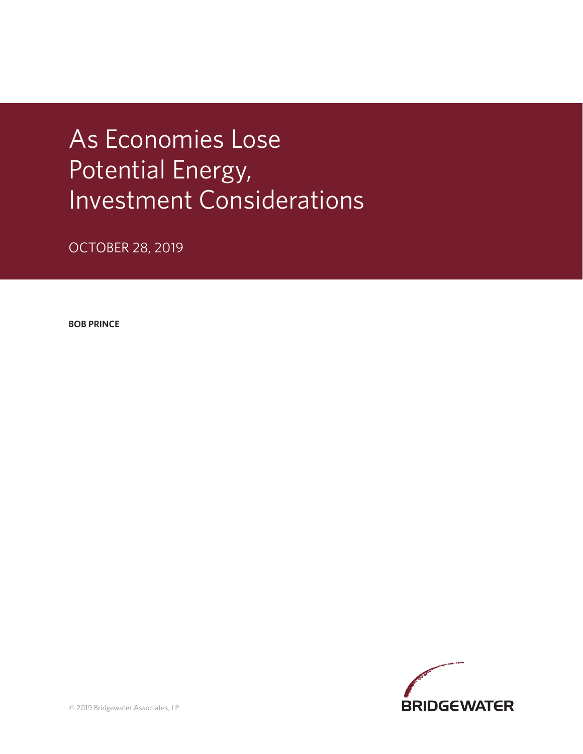## As Economies Lose Potential Energy, Investment Considerations

OCTOBER 28, 2019

**BOB PRINCE**

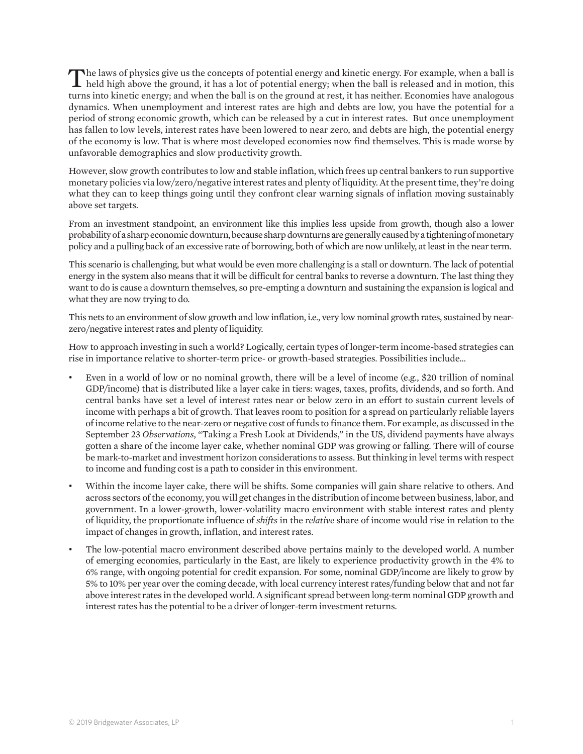The laws of physics give us the concepts of potential energy and kinetic energy. For example, when a ball is held high above the ground, it has a lot of potential energy; when the ball is released and in motion, this turns into kinetic energy; and when the ball is on the ground at rest, it has neither. Economies have analogous dynamics. When unemployment and interest rates are high and debts are low, you have the potential for a period of strong economic growth, which can be released by a cut in interest rates. But once unemployment has fallen to low levels, interest rates have been lowered to near zero, and debts are high, the potential energy of the economy is low. That is where most developed economies now find themselves. This is made worse by unfavorable demographics and slow productivity growth.

However, slow growth contributes to low and stable inflation, which frees up central bankers to run supportive monetary policies via low/zero/negative interest rates and plenty of liquidity. At the present time, they're doing what they can to keep things going until they confront clear warning signals of inflation moving sustainably above set targets.

From an investment standpoint, an environment like this implies less upside from growth, though also a lower probability of a sharp economic downturn, because sharp downturns are generally caused by a tightening of monetary policy and a pulling back of an excessive rate of borrowing, both of which are now unlikely, at least in the near term.

This scenario is challenging, but what would be even more challenging is a stall or downturn. The lack of potential energy in the system also means that it will be difficult for central banks to reverse a downturn. The last thing they want to do is cause a downturn themselves, so pre-empting a downturn and sustaining the expansion is logical and what they are now trying to do.

This nets to an environment of slow growth and low inflation, i.e., very low nominal growth rates, sustained by nearzero/negative interest rates and plenty of liquidity.

How to approach investing in such a world? Logically, certain types of longer-term income-based strategies can rise in importance relative to shorter-term price- or growth-based strategies. Possibilities include…

- Even in a world of low or no nominal growth, there will be a level of income (e.g., \$20 trillion of nominal GDP/income) that is distributed like a layer cake in tiers: wages, taxes, profits, dividends, and so forth. And central banks have set a level of interest rates near or below zero in an effort to sustain current levels of income with perhaps a bit of growth. That leaves room to position for a spread on particularly reliable layers of income relative to the near-zero or negative cost of funds to finance them. For example, as discussed in the September 23 *Observations*, "Taking a Fresh Look at Dividends," in the US, dividend payments have always gotten a share of the income layer cake, whether nominal GDP was growing or falling. There will of course be mark-to-market and investment horizon considerations to assess. But thinking in level terms with respect to income and funding cost is a path to consider in this environment.
- Within the income layer cake, there will be shifts. Some companies will gain share relative to others. And across sectors of the economy, you will get changes in the distribution of income between business, labor, and government. In a lower-growth, lower-volatility macro environment with stable interest rates and plenty of liquidity, the proportionate influence of *shifts* in the *relative* share of income would rise in relation to the impact of changes in growth, inflation, and interest rates.
- The low-potential macro environment described above pertains mainly to the developed world. A number of emerging economies, particularly in the East, are likely to experience productivity growth in the 4% to 6% range, with ongoing potential for credit expansion. For some, nominal GDP/income are likely to grow by 5% to 10% per year over the coming decade, with local currency interest rates/funding below that and not far above interest rates in the developed world. A significant spread between long-term nominal GDP growth and interest rates has the potential to be a driver of longer-term investment returns.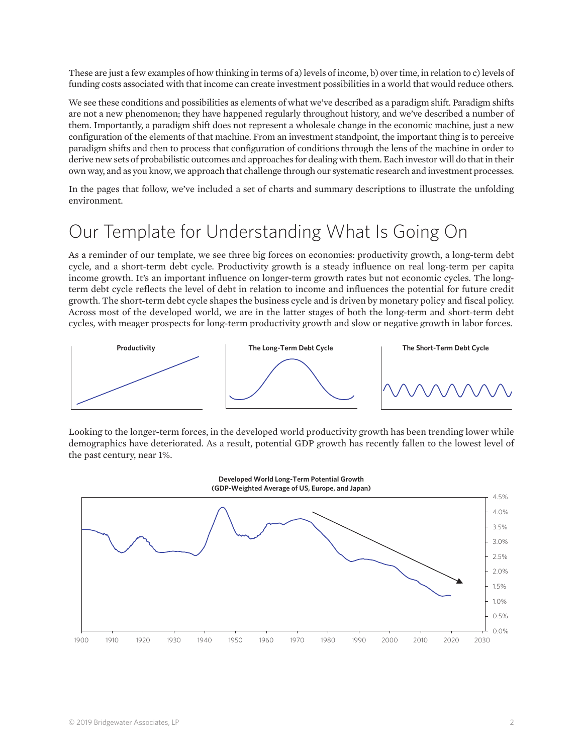These are just a few examples of how thinking in terms of a) levels of income, b) over time, in relation to c) levels of funding costs associated with that income can create investment possibilities in a world that would reduce others.

We see these conditions and possibilities as elements of what we've described as a paradigm shift. Paradigm shifts are not a new phenomenon; they have happened regularly throughout history, and we've described a number of them. Importantly, a paradigm shift does not represent a wholesale change in the economic machine, just a new configuration of the elements of that machine. From an investment standpoint, the important thing is to perceive paradigm shifts and then to process that configuration of conditions through the lens of the machine in order to derive new sets of probabilistic outcomes and approaches for dealing with them. Each investor will do that in their own way, and as you know, we approach that challenge through our systematic research and investment processes.

In the pages that follow, we've included a set of charts and summary descriptions to illustrate the unfolding environment.

## Our Template for Understanding What Is Going On

As a reminder of our template, we see three big forces on economies: productivity growth, a long-term debt cycle, and a short-term debt cycle. Productivity growth is a steady influence on real long-term per capita income growth. It's an important influence on longer-term growth rates but not economic cycles. The longterm debt cycle reflects the level of debt in relation to income and influences the potential for future credit growth. The short-term debt cycle shapes the business cycle and is driven by monetary policy and fiscal policy. Across most of the developed world, we are in the latter stages of both the long-term and short-term debt cycles, with meager prospects for long-term productivity growth and slow or negative growth in labor forces.



Looking to the longer-term forces, in the developed world productivity growth has been trending lower while demographics have deteriorated. As a result, potential GDP growth has recently fallen to the lowest level of the past century, near 1%.

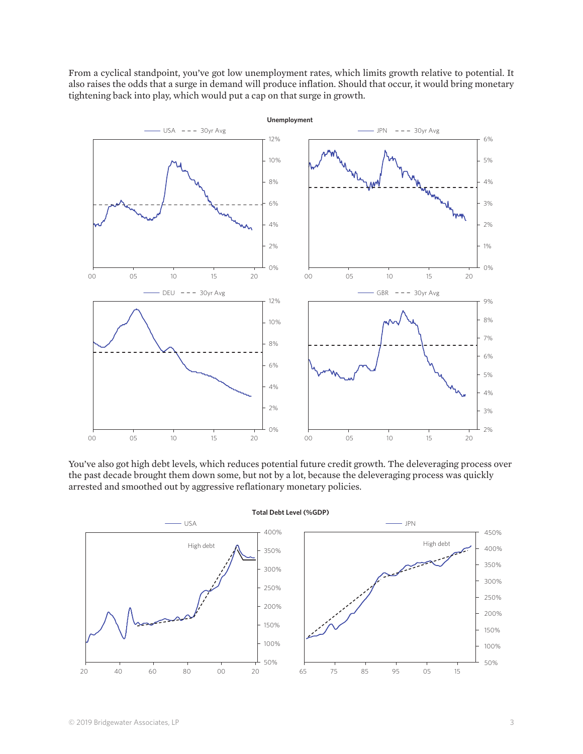From a cyclical standpoint, you've got low unemployment rates, which limits growth relative to potential. It also raises the odds that a surge in demand will produce inflation. Should that occur, it would bring monetary tightening back into play, which would put a cap on that surge in growth.



You've also got high debt levels, which reduces potential future credit growth. The deleveraging process over the past decade brought them down some, but not by a lot, because the deleveraging process was quickly arrested and smoothed out by aggressive reflationary monetary policies.

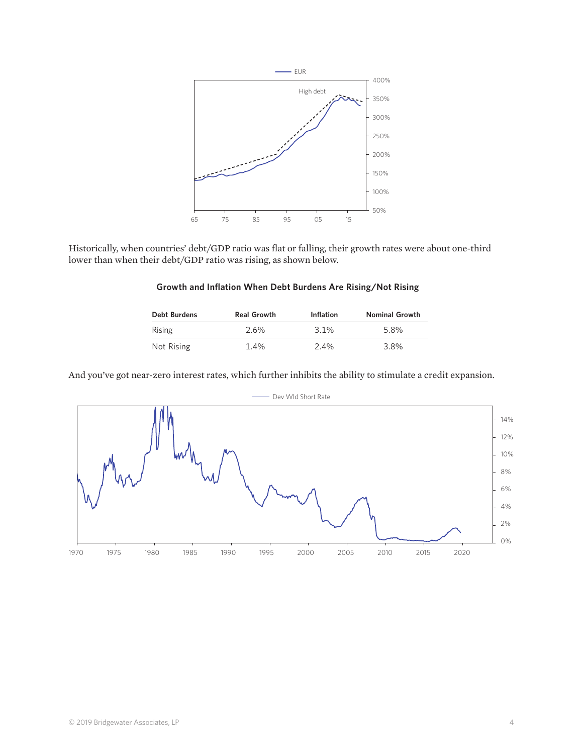

Historically, when countries' debt/GDP ratio was flat or falling, their growth rates were about one-third lower than when their debt/GDP ratio was rising, as shown below.

## **Growth and Inflation When Debt Burdens Are Rising/Not Rising**

| <b>Debt Burdens</b> | <b>Real Growth</b> | <b>Inflation</b> | <b>Nominal Growth</b> |
|---------------------|--------------------|------------------|-----------------------|
| Rising              | 2.6%               | 3.1%             | 5.8%                  |
| Not Rising          | 1.4%               | $2.4\%$          | 3.8%                  |

And you've got near-zero interest rates, which further inhibits the ability to stimulate a credit expansion.



- Dev Wld Short Rate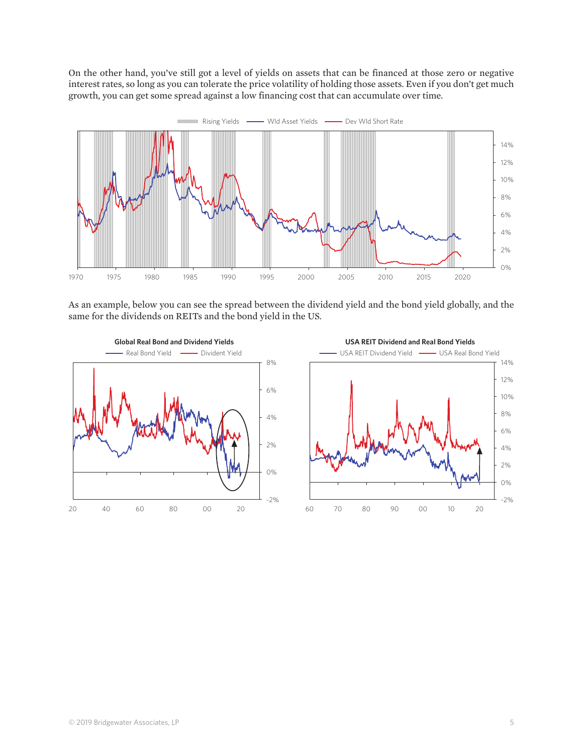On the other hand, you've still got a level of yields on assets that can be financed at those zero or negative interest rates, so long as you can tolerate the price volatility of holding those assets. Even if you don't get much growth, you can get some spread against a low financing cost that can accumulate over time.



As an example, below you can see the spread between the dividend yield and the bond yield globally, and the same for the dividends on REITs and the bond yield in the US.





© 2019 Bridgewater Associates, LP 5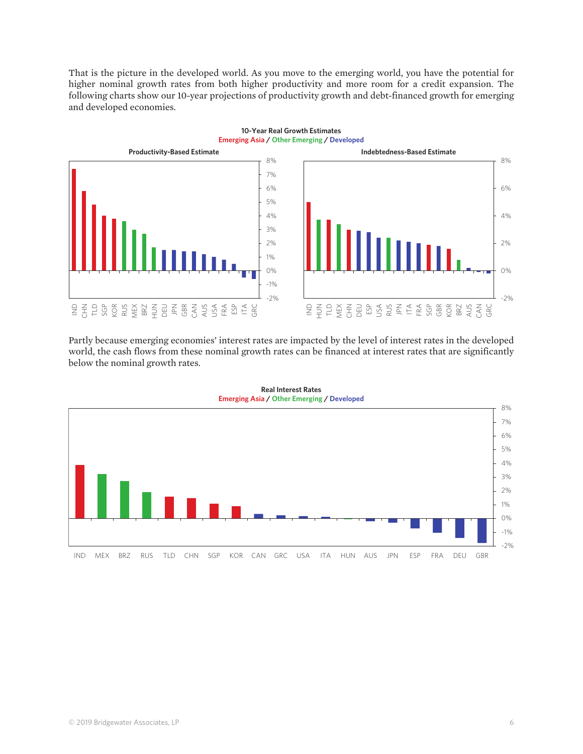That is the picture in the developed world. As you move to the emerging world, you have the potential for higher nominal growth rates from both higher productivity and more room for a credit expansion. The following charts show our 10-year projections of productivity growth and debt-financed growth for emerging and developed economies.



Partly because emerging economies' interest rates are impacted by the level of interest rates in the developed world, the cash flows from these nominal growth rates can be financed at interest rates that are significantly below the nominal growth rates.



**10-Year Real Growth Estimates Emerging Asia / Other Emerging / Developed**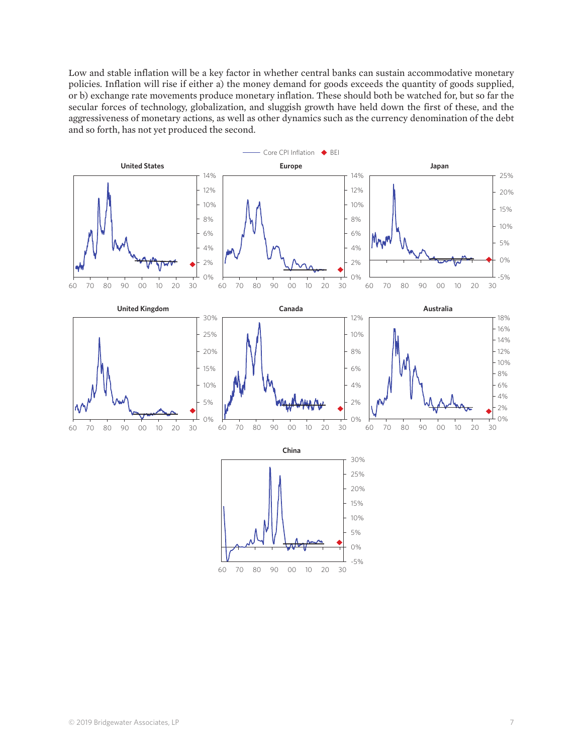Low and stable inflation will be a key factor in whether central banks can sustain accommodative monetary policies. Inflation will rise if either a) the money demand for goods exceeds the quantity of goods supplied, or b) exchange rate movements produce monetary inflation. These should both be watched for, but so far the secular forces of technology, globalization, and sluggish growth have held down the first of these, and the aggressiveness of monetary actions, as well as other dynamics such as the currency denomination of the debt and so forth, has not yet produced the second.

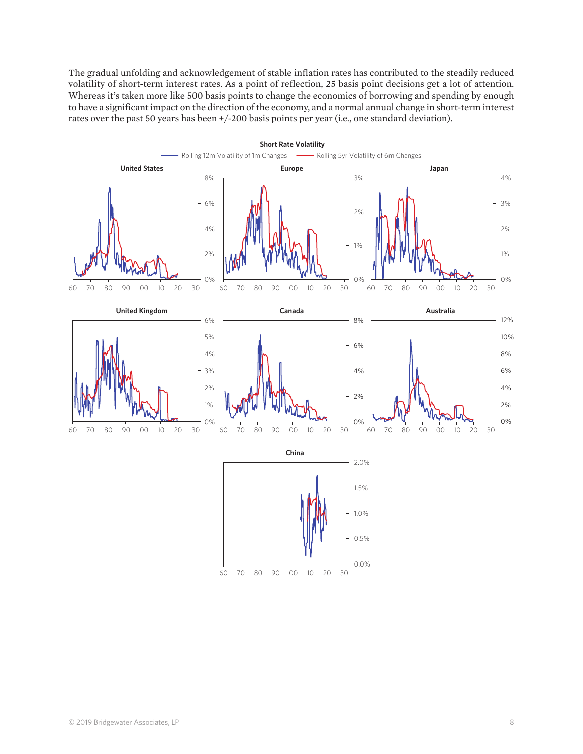The gradual unfolding and acknowledgement of stable inflation rates has contributed to the steadily reduced volatility of short-term interest rates. As a point of reflection, 25 basis point decisions get a lot of attention. Whereas it's taken more like 500 basis points to change the economics of borrowing and spending by enough to have a significant impact on the direction of the economy, and a normal annual change in short-term interest rates over the past 50 years has been +/-200 basis points per year (i.e., one standard deviation).